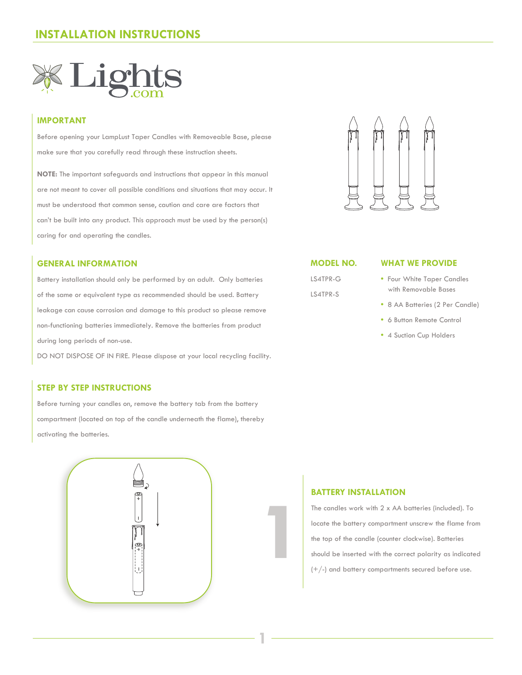

## **IMPORTANT**

Before opening your LampLust Taper Candles with Removeable Base, please make sure that you carefully read through these instruction sheets.

**NOTE:** The important safeguards and instructions that appear in this manual are not meant to cover all possible conditions and situations that may occur. It must be understood that common sense, caution and care are factors that can't be built into any product. This approach must be used by the person(s) caring for and operating the candles.

#### **GENERAL INFORMATION**

Battery installation should only be performed by an adult. Only batteries of the same or equivalent type as recommended should be used. Battery leakage can cause corrosion and damage to this product so please remove non-functioning batteries immediately. Remove the batteries from product during long periods of non-use.

DO NOT DISPOSE OF IN FIRE. Please dispose at your local recycling facility.

### **STEP BY STEP INSTRUCTIONS**

Before turning your candles on, remove the battery tab from the battery compartment (located on top of the candle underneath the flame), thereby activating the batteries.





**MODEL NO.**

LS4TPR-G LS4TPR-S

#### **WHAT WE PROVIDE**

- Four White Taper Candles with Removable Bases
- 8 AA Batteries (2 Per Candle)
- 6 Button Remote Control
- 4 Suction Cup Holders

#### **BATTERY INSTALLATION**

**1**

**1**

The candles work with 2 x AA batteries (included). To locate the battery compartment unscrew the flame from the top of the candle (counter clockwise). Batteries should be inserted with the correct polarity as indicated  $(+/-)$  and battery compartments secured before use.